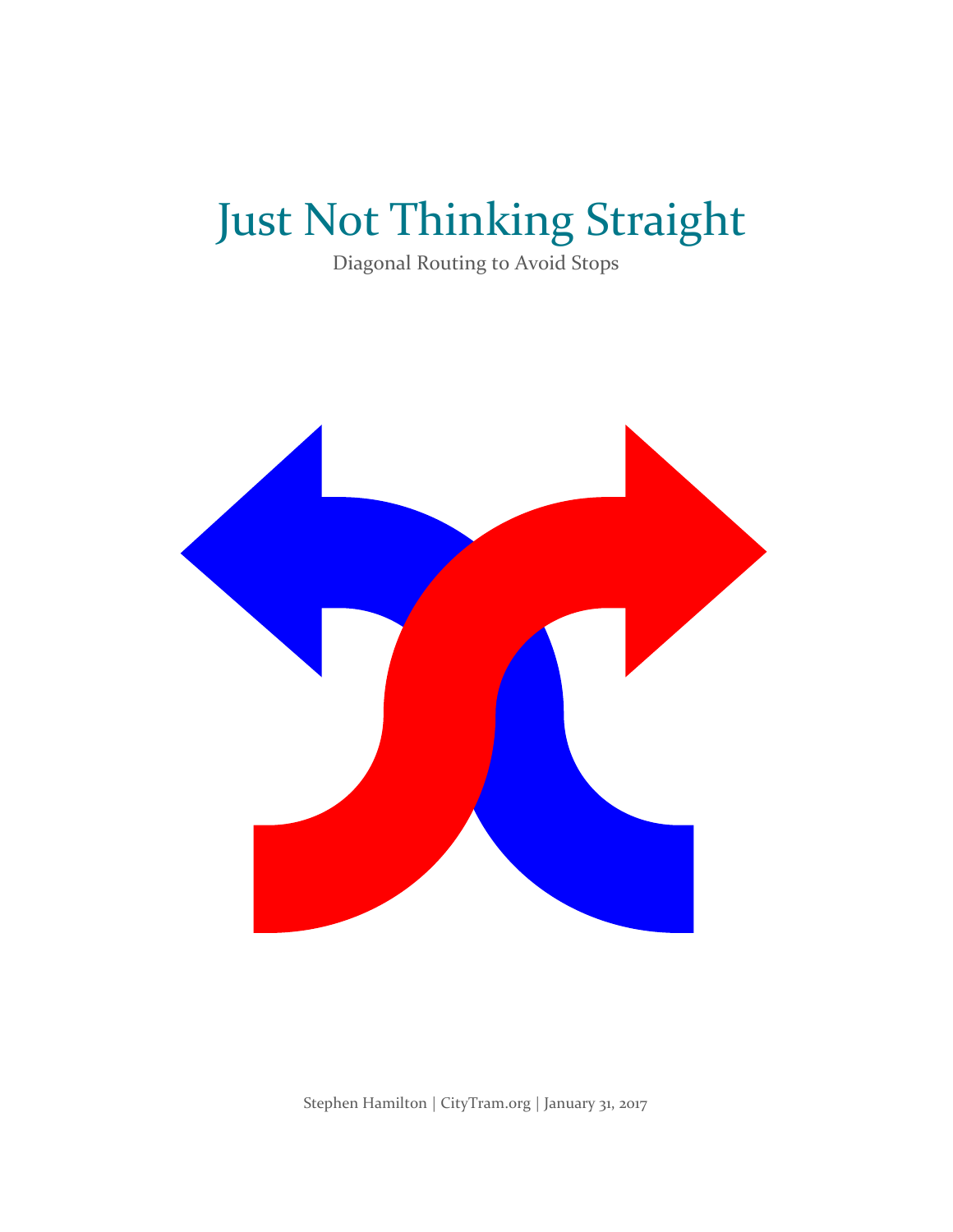# Just Not Thinking Straight

Diagonal Routing to Avoid Stops



Stephen Hamilton | CityTram.org | January 31, 2017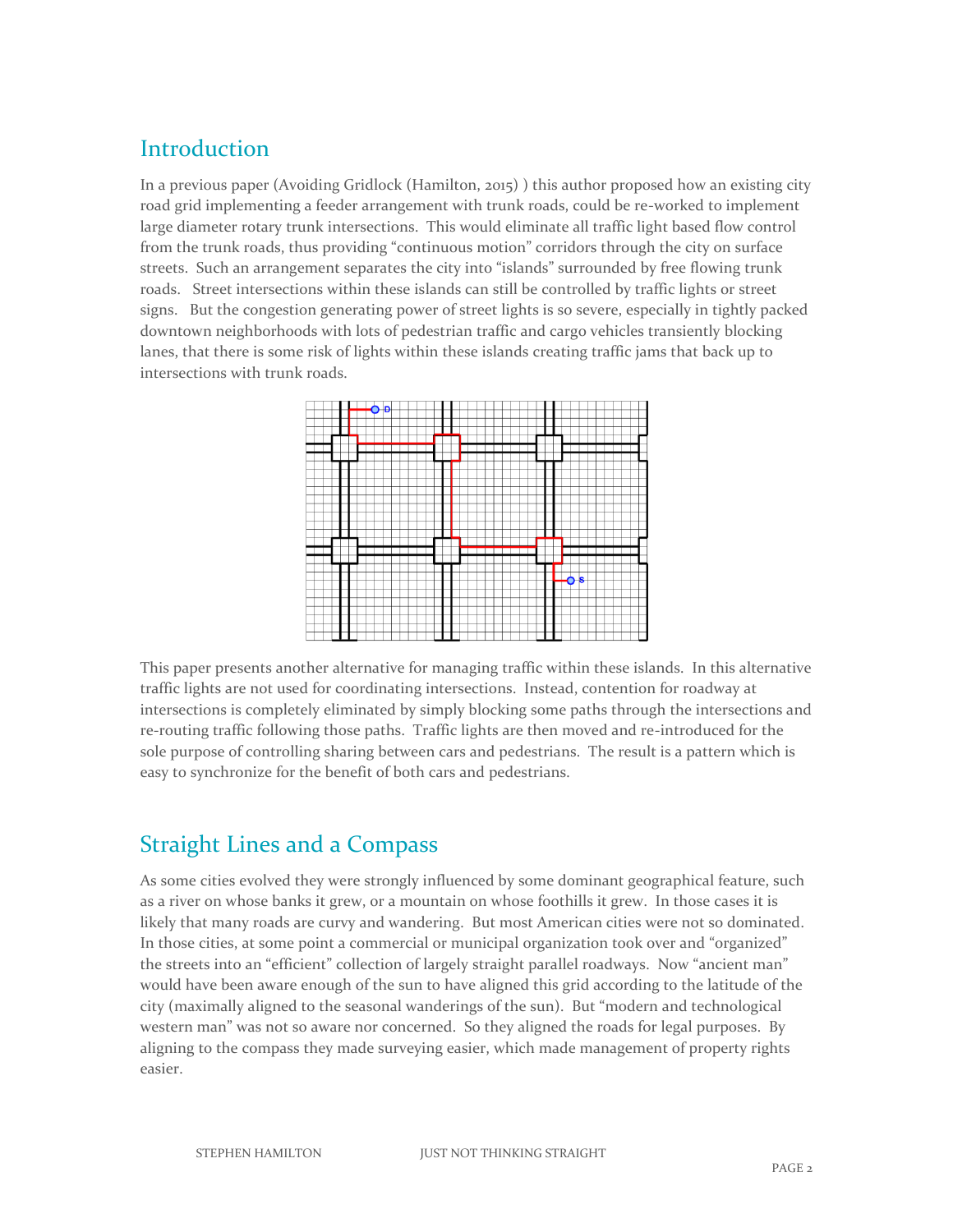### **Introduction**

In a previous paper (Avoiding Gridlock (Hamilton, 2015) ) this author proposed how an existing city road grid implementing a feeder arrangement with trunk roads, could be re-worked to implement large diameter rotary trunk intersections. This would eliminate all traffic light based flow control from the trunk roads, thus providing "continuous motion" corridors through the city on surface streets. Such an arrangement separates the city into "islands" surrounded by free flowing trunk roads. Street intersections within these islands can still be controlled by traffic lights or street signs. But the congestion generating power of street lights is so severe, especially in tightly packed downtown neighborhoods with lots of pedestrian traffic and cargo vehicles transiently blocking lanes, that there is some risk of lights within these islands creating traffic jams that back up to intersections with trunk roads.



This paper presents another alternative for managing traffic within these islands. In this alternative traffic lights are not used for coordinating intersections. Instead, contention for roadway at intersections is completely eliminated by simply blocking some paths through the intersections and re-routing traffic following those paths. Traffic lights are then moved and re-introduced for the sole purpose of controlling sharing between cars and pedestrians. The result is a pattern which is easy to synchronize for the benefit of both cars and pedestrians.

# Straight Lines and a Compass

As some cities evolved they were strongly influenced by some dominant geographical feature, such as a river on whose banks it grew, or a mountain on whose foothills it grew. In those cases it is likely that many roads are curvy and wandering. But most American cities were not so dominated. In those cities, at some point a commercial or municipal organization took over and "organized" the streets into an "efficient" collection of largely straight parallel roadways. Now "ancient man" would have been aware enough of the sun to have aligned this grid according to the latitude of the city (maximally aligned to the seasonal wanderings of the sun). But "modern and technological western man" was not so aware nor concerned. So they aligned the roads for legal purposes. By aligning to the compass they made surveying easier, which made management of property rights easier.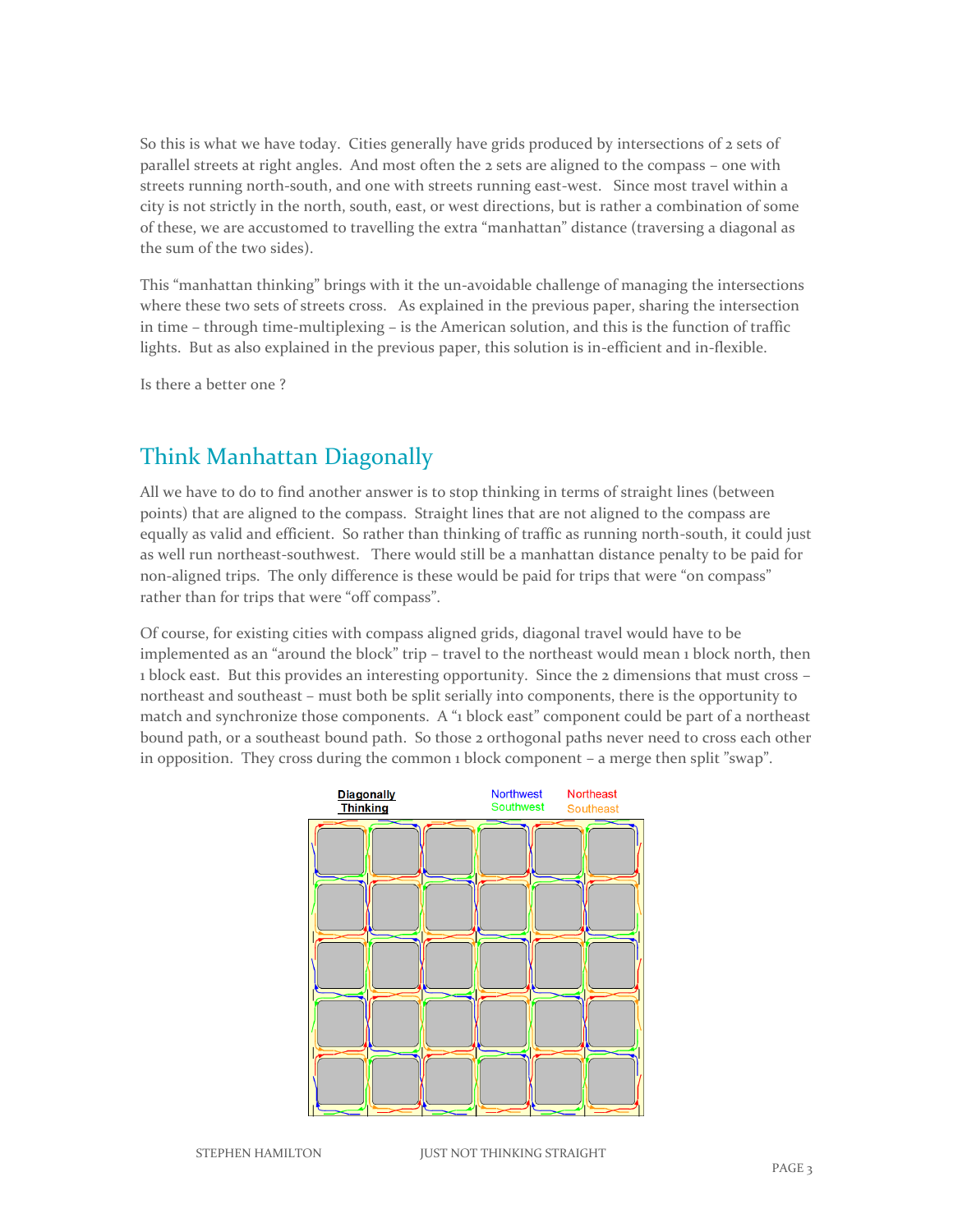So this is what we have today. Cities generally have grids produced by intersections of 2 sets of parallel streets at right angles. And most often the 2 sets are aligned to the compass – one with streets running north-south, and one with streets running east-west. Since most travel within a city is not strictly in the north, south, east, or west directions, but is rather a combination of some of these, we are accustomed to travelling the extra "manhattan" distance (traversing a diagonal as the sum of the two sides).

This "manhattan thinking" brings with it the un-avoidable challenge of managing the intersections where these two sets of streets cross. As explained in the previous paper, sharing the intersection in time – through time-multiplexing – is the American solution, and this is the function of traffic lights. But as also explained in the previous paper, this solution is in-efficient and in-flexible.

Is there a better one ?

### Think Manhattan Diagonally

All we have to do to find another answer is to stop thinking in terms of straight lines (between points) that are aligned to the compass. Straight lines that are not aligned to the compass are equally as valid and efficient. So rather than thinking of traffic as running north-south, it could just as well run northeast-southwest. There would still be a manhattan distance penalty to be paid for non-aligned trips. The only difference is these would be paid for trips that were "on compass" rather than for trips that were "off compass".

Of course, for existing cities with compass aligned grids, diagonal travel would have to be implemented as an "around the block" trip – travel to the northeast would mean 1 block north, then 1 block east. But this provides an interesting opportunity. Since the 2 dimensions that must cross – northeast and southeast – must both be split serially into components, there is the opportunity to match and synchronize those components. A "1 block east" component could be part of a northeast bound path, or a southeast bound path. So those 2 orthogonal paths never need to cross each other in opposition. They cross during the common 1 block component – a merge then split "swap".

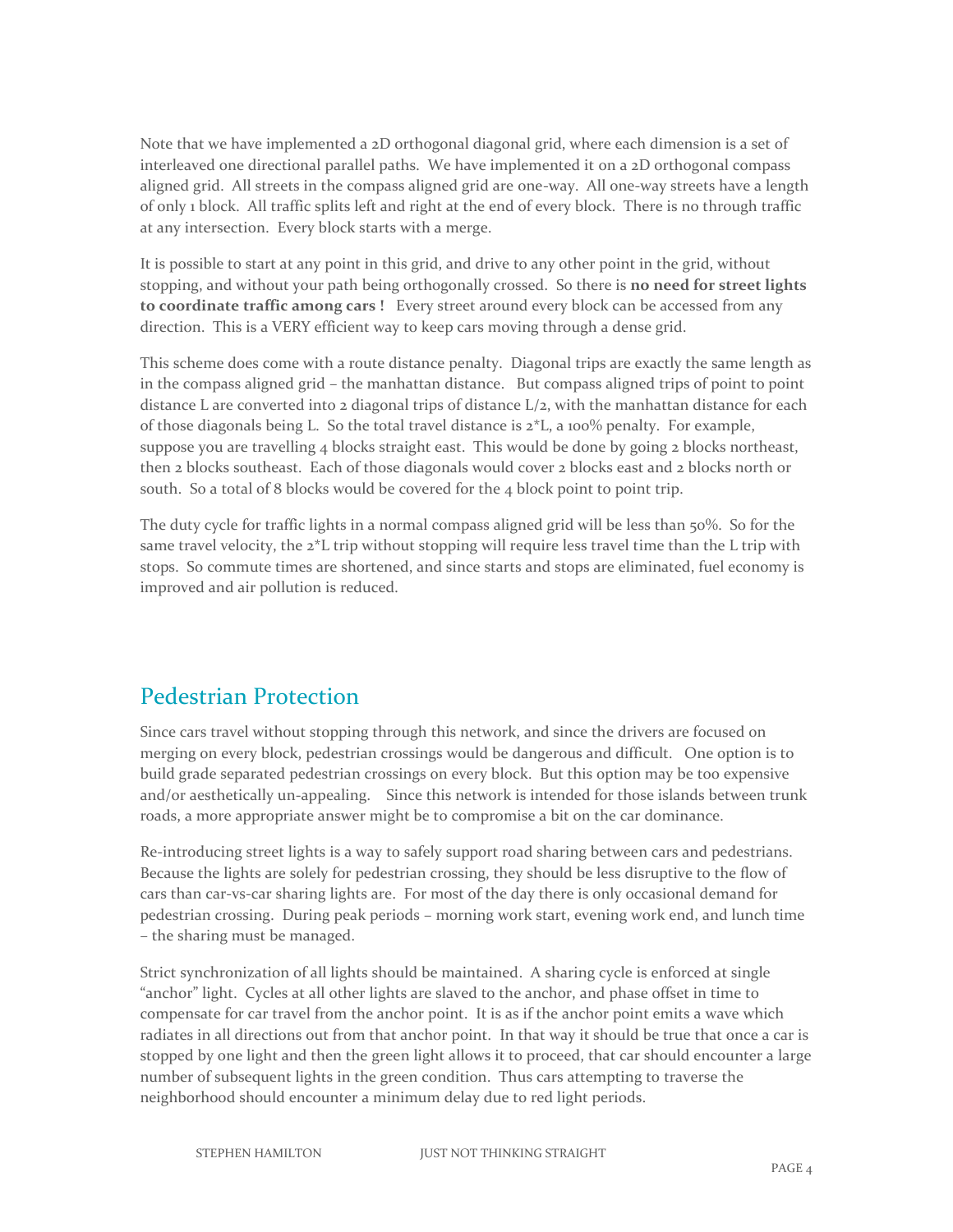Note that we have implemented a 2D orthogonal diagonal grid, where each dimension is a set of interleaved one directional parallel paths. We have implemented it on a 2D orthogonal compass aligned grid. All streets in the compass aligned grid are one-way. All one-way streets have a length of only 1 block. All traffic splits left and right at the end of every block. There is no through traffic at any intersection. Every block starts with a merge.

It is possible to start at any point in this grid, and drive to any other point in the grid, without stopping, and without your path being orthogonally crossed. So there is **no need for street lights to coordinate traffic among cars !** Every street around every block can be accessed from any direction. This is a VERY efficient way to keep cars moving through a dense grid.

This scheme does come with a route distance penalty. Diagonal trips are exactly the same length as in the compass aligned grid – the manhattan distance. But compass aligned trips of point to point distance L are converted into  $2$  diagonal trips of distance  $L/2$ , with the manhattan distance for each of those diagonals being L. So the total travel distance is  $2*L$ , a 100% penalty. For example, suppose you are travelling  $4$  blocks straight east. This would be done by going  $2$  blocks northeast, then 2 blocks southeast. Each of those diagonals would cover 2 blocks east and 2 blocks north or south. So a total of 8 blocks would be covered for the 4 block point to point trip.

The duty cycle for traffic lights in a normal compass aligned grid will be less than 50%. So for the same travel velocity, the  $2*L$  trip without stopping will require less travel time than the L trip with stops. So commute times are shortened, and since starts and stops are eliminated, fuel economy is improved and air pollution is reduced.

#### Pedestrian Protection

Since cars travel without stopping through this network, and since the drivers are focused on merging on every block, pedestrian crossings would be dangerous and difficult. One option is to build grade separated pedestrian crossings on every block. But this option may be too expensive and/or aesthetically un-appealing. Since this network is intended for those islands between trunk roads, a more appropriate answer might be to compromise a bit on the car dominance.

Re-introducing street lights is a way to safely support road sharing between cars and pedestrians. Because the lights are solely for pedestrian crossing, they should be less disruptive to the flow of cars than car-vs-car sharing lights are. For most of the day there is only occasional demand for pedestrian crossing. During peak periods – morning work start, evening work end, and lunch time – the sharing must be managed.

Strict synchronization of all lights should be maintained. A sharing cycle is enforced at single "anchor" light. Cycles at all other lights are slaved to the anchor, and phase offset in time to compensate for car travel from the anchor point. It is as if the anchor point emits a wave which radiates in all directions out from that anchor point. In that way it should be true that once a car is stopped by one light and then the green light allows it to proceed, that car should encounter a large number of subsequent lights in the green condition. Thus cars attempting to traverse the neighborhood should encounter a minimum delay due to red light periods.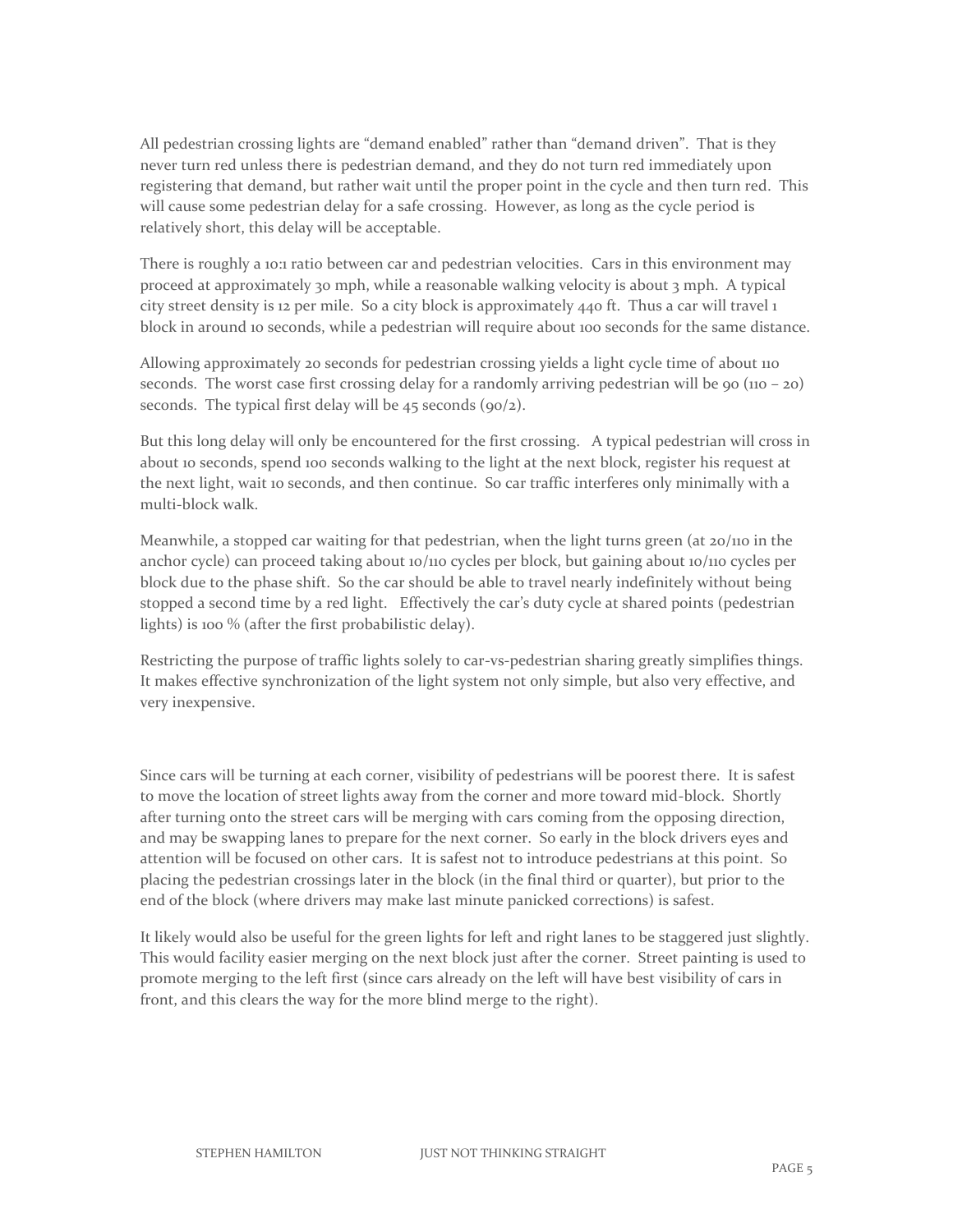All pedestrian crossing lights are "demand enabled" rather than "demand driven". That is they never turn red unless there is pedestrian demand, and they do not turn red immediately upon registering that demand, but rather wait until the proper point in the cycle and then turn red. This will cause some pedestrian delay for a safe crossing. However, as long as the cycle period is relatively short, this delay will be acceptable.

There is roughly a 10:1 ratio between car and pedestrian velocities. Cars in this environment may proceed at approximately 30 mph, while a reasonable walking velocity is about 3 mph. A typical city street density is 12 per mile. So a city block is approximately 440 ft. Thus a car will travel 1 block in around 10 seconds, while a pedestrian will require about 100 seconds for the same distance.

Allowing approximately 20 seconds for pedestrian crossing yields a light cycle time of about 110 seconds. The worst case first crossing delay for a randomly arriving pedestrian will be 90 ( $110 - 20$ ) seconds. The typical first delay will be  $45$  seconds (90/2).

But this long delay will only be encountered for the first crossing. A typical pedestrian will cross in about 10 seconds, spend 100 seconds walking to the light at the next block, register his request at the next light, wait 10 seconds, and then continue. So car traffic interferes only minimally with a multi-block walk.

Meanwhile, a stopped car waiting for that pedestrian, when the light turns green (at 20/110 in the anchor cycle) can proceed taking about 10/110 cycles per block, but gaining about 10/110 cycles per block due to the phase shift. So the car should be able to travel nearly indefinitely without being stopped a second time by a red light. Effectively the car's duty cycle at shared points (pedestrian lights) is 100 % (after the first probabilistic delay).

Restricting the purpose of traffic lights solely to car-vs-pedestrian sharing greatly simplifies things. It makes effective synchronization of the light system not only simple, but also very effective, and very inexpensive.

Since cars will be turning at each corner, visibility of pedestrians will be poorest there. It is safest to move the location of street lights away from the corner and more toward mid-block. Shortly after turning onto the street cars will be merging with cars coming from the opposing direction, and may be swapping lanes to prepare for the next corner. So early in the block drivers eyes and attention will be focused on other cars. It is safest not to introduce pedestrians at this point. So placing the pedestrian crossings later in the block (in the final third or quarter), but prior to the end of the block (where drivers may make last minute panicked corrections) is safest.

It likely would also be useful for the green lights for left and right lanes to be staggered just slightly. This would facility easier merging on the next block just after the corner. Street painting is used to promote merging to the left first (since cars already on the left will have best visibility of cars in front, and this clears the way for the more blind merge to the right).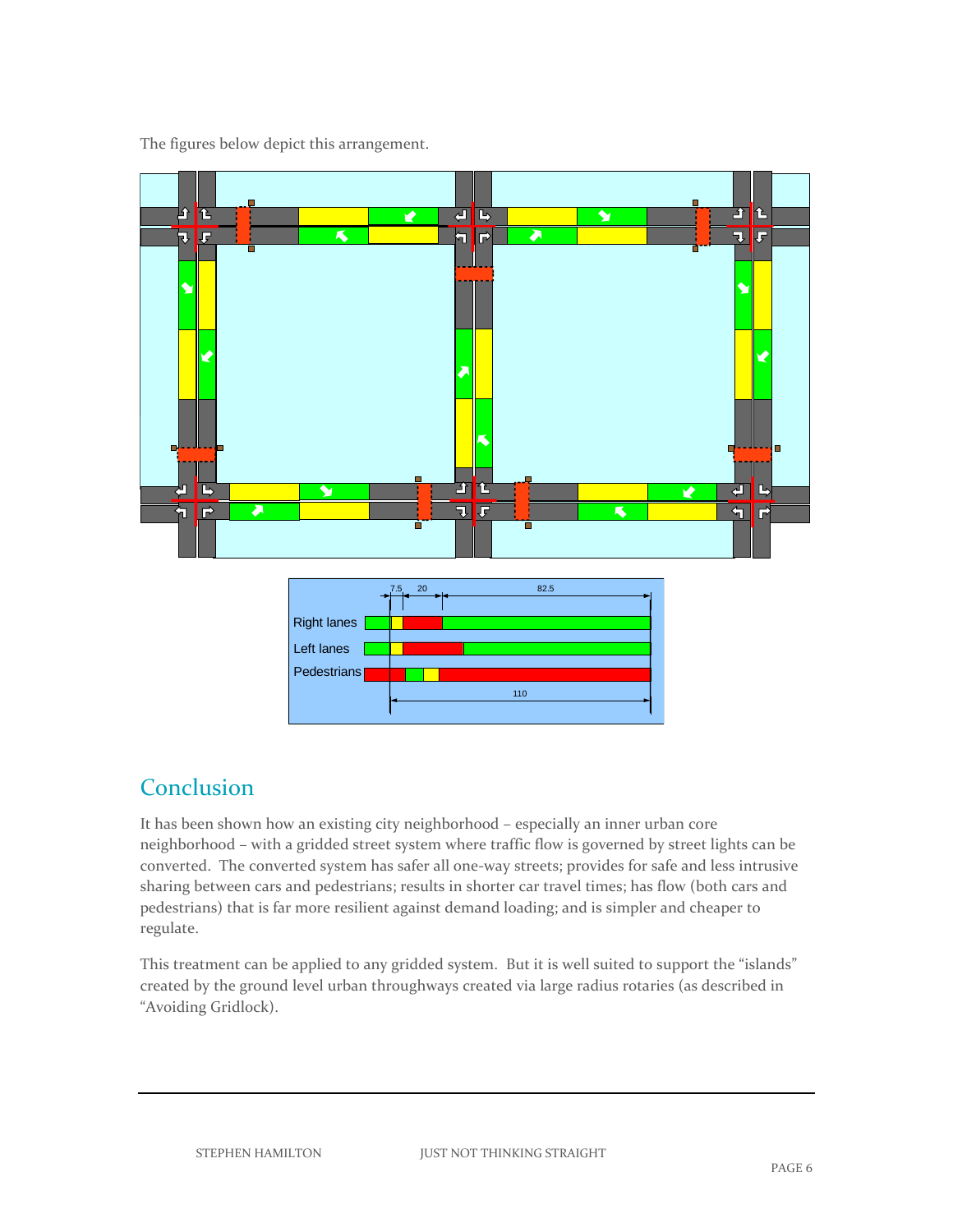り<br>|全 खाङ Ø 句け न र

The figures below depict this arrangement.

|                    | - 20<br>.5. | 82.5 |  |
|--------------------|-------------|------|--|
| <b>Right lanes</b> |             |      |  |
| Left lanes         |             |      |  |
| Pedestrians        |             |      |  |
|                    |             | 110  |  |

子 飞

ュー

# Conclusion

也 B

፞፞ጘ∐େ

It has been shown how an existing city neighborhood – especially an inner urban core neighborhood – with a gridded street system where traffic flow is governed by street lights can be converted. The converted system has safer all one-way streets; provides for safe and less intrusive sharing between cars and pedestrians; results in shorter car travel times; has flow (both cars and pedestrians) that is far more resilient against demand loading; and is simpler and cheaper to regulate.

This treatment can be applied to any gridded system. But it is well suited to support the "islands" created by the ground level urban throughways created via large radius rotaries (as described in "Avoiding Gridlock).

 $\mathbf{T}$ 仓

ュに

n

ख़ऻढ़

{⊓ त